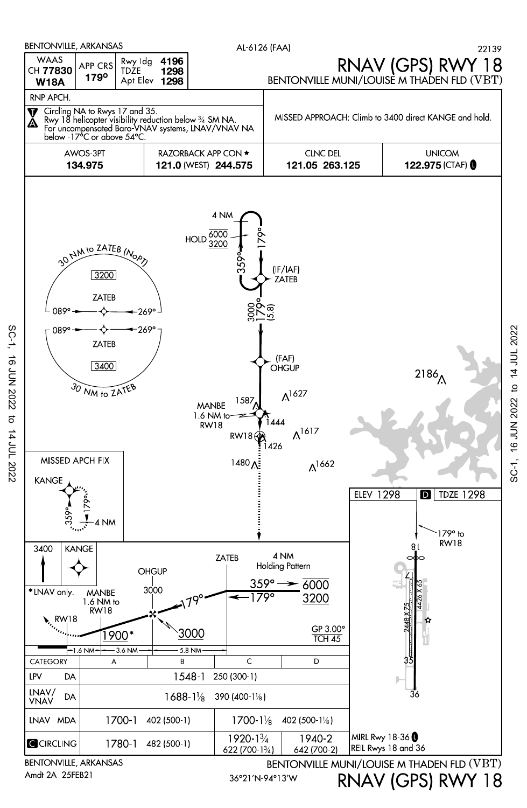

**16 JUN 2022**  $\sigma$ 14 JUL 2022

 $SC-1$ ,

Amdt 2A 25FEB21

RNAV (GPS) RWY 18

16 JUN 2022 to 14 JUL 2022

SC-1,

36°21′N-94°13′W